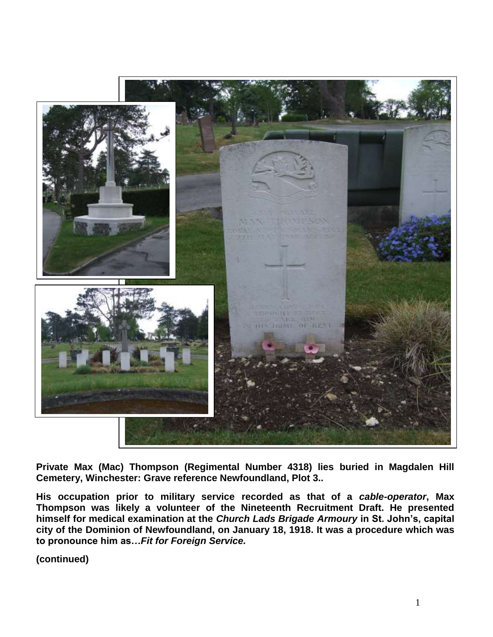

**Private Max (Mac) Thompson (Regimental Number 4318) lies buried in Magdalen Hill Cemetery, Winchester: Grave reference Newfoundland, Plot 3..** 

**His occupation prior to military service recorded as that of a** *cable-operator***, Max Thompson was likely a volunteer of the Nineteenth Recruitment Draft. He presented himself for medical examination at the** *Church Lads Brigade Armoury* **in St. John's, capital city of the Dominion of Newfoundland, on January 18, 1918. It was a procedure which was to pronounce him as…***Fit for Foreign Service.*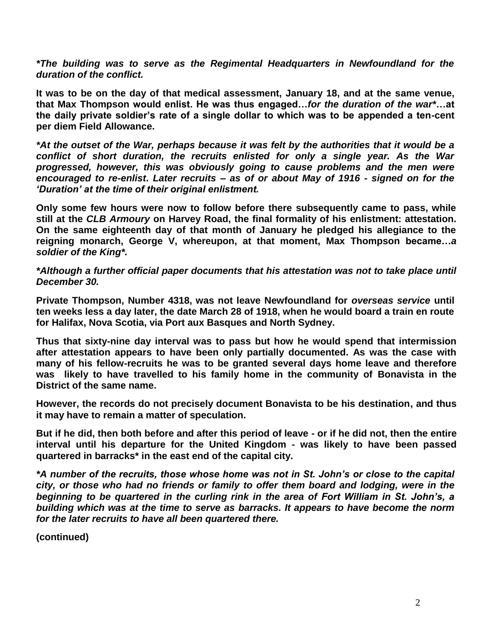*\*The building was to serve as the Regimental Headquarters in Newfoundland for the duration of the conflict.*

**It was to be on the day of that medical assessment, January 18, and at the same venue, that Max Thompson would enlist. He was thus engaged…***for the duration of the war\****…at the daily private soldier's rate of a single dollar to which was to be appended a ten-cent per diem Field Allowance.**

*\*At the outset of the War, perhaps because it was felt by the authorities that it would be a conflict of short duration, the recruits enlisted for only a single year. As the War progressed, however, this was obviously going to cause problems and the men were encouraged to re-enlist***.** *Later recruits – as of or about May of 1916 - signed on for the 'Duration' at the time of their original enlistment.*

**Only some few hours were now to follow before there subsequently came to pass, while still at the** *CLB Armoury* **on Harvey Road, the final formality of his enlistment: attestation. On the same eighteenth day of that month of January he pledged his allegiance to the reigning monarch, George V, whereupon, at that moment, Max Thompson became…***a soldier of the King\*.*

*\*Although a further official paper documents that his attestation was not to take place until December 30.*

**Private Thompson, Number 4318, was not leave Newfoundland for** *overseas service* **until ten weeks less a day later, the date March 28 of 1918, when he would board a train en route for Halifax, Nova Scotia, via Port aux Basques and North Sydney.** 

**Thus that sixty-nine day interval was to pass but how he would spend that intermission after attestation appears to have been only partially documented. As was the case with many of his fellow-recruits he was to be granted several days home leave and therefore was likely to have travelled to his family home in the community of Bonavista in the District of the same name.** 

**However, the records do not precisely document Bonavista to be his destination, and thus it may have to remain a matter of speculation.**

**But if he did, then both before and after this period of leave - or if he did not, then the entire interval until his departure for the United Kingdom - was likely to have been passed quartered in barracks\* in the east end of the capital city.**

*\*A number of the recruits, those whose home was not in St. John's or close to the capital city, or those who had no friends or family to offer them board and lodging, were in the beginning to be quartered in the curling rink in the area of Fort William in St. John's, a building which was at the time to serve as barracks. It appears to have become the norm for the later recruits to have all been quartered there.*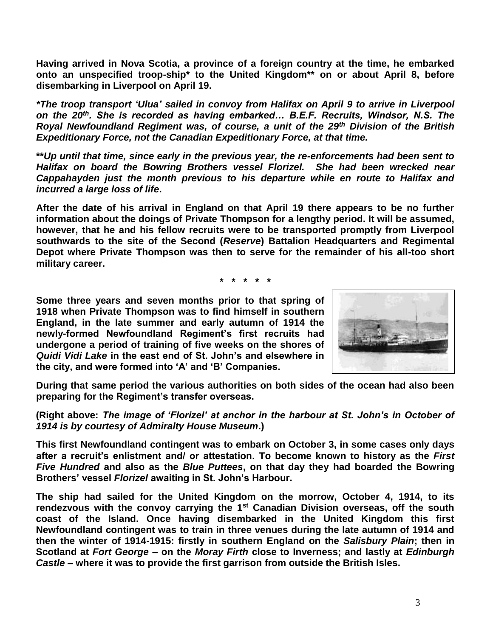**Having arrived in Nova Scotia, a province of a foreign country at the time, he embarked onto an unspecified troop-ship\* to the United Kingdom\*\* on or about April 8, before disembarking in Liverpool on April 19.**

*\*The troop transport 'Ulua' sailed in convoy from Halifax on April 9 to arrive in Liverpool on the 20th. She is recorded as having embarked… B.E.F. Recruits, Windsor, N.S. The Royal Newfoundland Regiment was, of course, a unit of the 29th Division of the British Expeditionary Force, not the Canadian Expeditionary Force, at that time.*

**\*\****Up until that time, since early in the previous year, the re-enforcements had been sent to Halifax on board the Bowring Brothers vessel Florizel. She had been wrecked near Cappahayden just the month previous to his departure while en route to Halifax and incurred a large loss of life***.**

**After the date of his arrival in England on that April 19 there appears to be no further information about the doings of Private Thompson for a lengthy period. It will be assumed, however, that he and his fellow recruits were to be transported promptly from Liverpool southwards to the site of the Second (***Reserve***) Battalion Headquarters and Regimental Depot where Private Thompson was then to serve for the remainder of his all-too short military career.** 

**\* \* \* \* \***

**Some three years and seven months prior to that spring of 1918 when Private Thompson was to find himself in southern England, in the late summer and early autumn of 1914 the newly-formed Newfoundland Regiment's first recruits had undergone a period of training of five weeks on the shores of**  *Quidi Vidi Lake* **in the east end of St. John's and elsewhere in the city, and were formed into 'A' and 'B' Companies.**



**During that same period the various authorities on both sides of the ocean had also been preparing for the Regiment's transfer overseas.**

**(Right above:** *The image of 'Florizel' at anchor in the harbour at St. John's in October of 1914 is by courtesy of Admiralty House Museum***.)**

**This first Newfoundland contingent was to embark on October 3, in some cases only days after a recruit's enlistment and/ or attestation. To become known to history as the** *First Five Hundred* **and also as the** *Blue Puttees***, on that day they had boarded the Bowring Brothers' vessel** *Florizel* **awaiting in St. John's Harbour.**

**The ship had sailed for the United Kingdom on the morrow, October 4, 1914, to its rendezvous with the convoy carrying the 1st Canadian Division overseas, off the south coast of the Island. Once having disembarked in the United Kingdom this first Newfoundland contingent was to train in three venues during the late autumn of 1914 and then the winter of 1914-1915: firstly in southern England on the** *Salisbury Plain***; then in Scotland at** *Fort George* **– on the** *Moray Firth* **close to Inverness; and lastly at** *Edinburgh Castle* **– where it was to provide the first garrison from outside the British Isles.**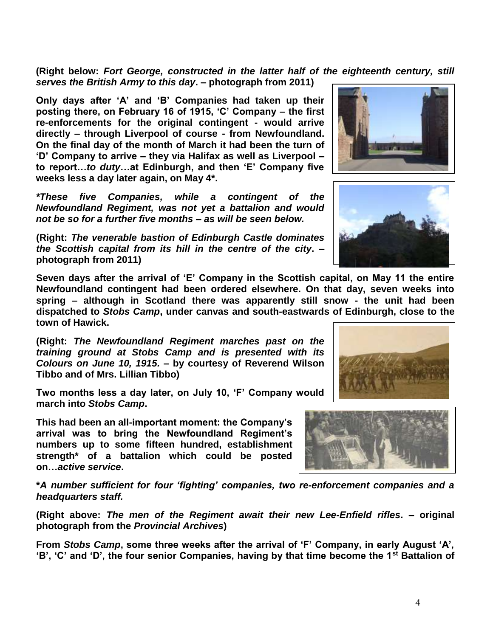**(Right below:** *Fort George, constructed in the latter half of the eighteenth century, still serves the British Army to this day***. – photograph from 2011)**

**Only days after 'A' and 'B' Companies had taken up their posting there, on February 16 of 1915, 'C' Company – the first re-enforcements for the original contingent - would arrive directly – through Liverpool of course - from Newfoundland. On the final day of the month of March it had been the turn of 'D' Company to arrive – they via Halifax as well as Liverpool – to report…***to duty***…at Edinburgh, and then 'E' Company five weeks less a day later again, on May 4\*.**

*\*These five Companies, while a contingent of the Newfoundland Regiment, was not yet a battalion and would not be so for a further five months – as will be seen below.*

**(Right:** *The venerable bastion of Edinburgh Castle dominates the Scottish capital from its hill in the centre of the city***. – photograph from 2011)**

**Seven days after the arrival of 'E' Company in the Scottish capital, on May 11 the entire Newfoundland contingent had been ordered elsewhere. On that day, seven weeks into spring – although in Scotland there was apparently still snow - the unit had been dispatched to** *Stobs Camp***, under canvas and south-eastwards of Edinburgh, close to the town of Hawick.**

**(Right:** *The Newfoundland Regiment marches past on the training ground at Stobs Camp and is presented with its Colours on June 10, 1915.* **– by courtesy of Reverend Wilson Tibbo and of Mrs. Lillian Tibbo)**

**Two months less a day later, on July 10, 'F' Company would march into** *Stobs Camp***.** 

**This had been an all-important moment: the Company's arrival was to bring the Newfoundland Regiment's numbers up to some fifteen hundred, establishment strength\* of a battalion which could be posted on…***active service***.**

**\****A number sufficient for four 'fighting' companies, two re-enforcement companies and a headquarters staff.*

**(Right above:** *The men of the Regiment await their new Lee-Enfield rifles***. – original photograph from the** *Provincial Archives***)**

**From** *Stobs Camp***, some three weeks after the arrival of 'F' Company, in early August 'A', 'B', 'C' and 'D', the four senior Companies, having by that time become the 1st Battalion of** 





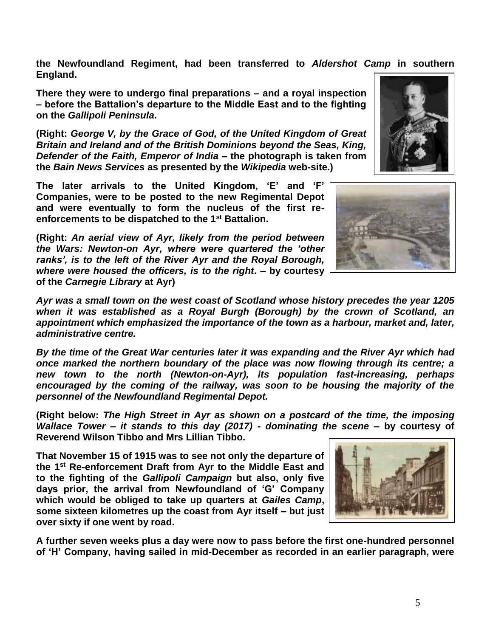**the Newfoundland Regiment, had been transferred to** *Aldershot Camp* **in southern England.** 

**There they were to undergo final preparations – and a royal inspection – before the Battalion's departure to the Middle East and to the fighting on the** *Gallipoli Peninsula***.**

**(Right:** *George V, by the Grace of God, of the United Kingdom of Great Britain and Ireland and of the British Dominions beyond the Seas, King, Defender of the Faith, Emperor of India* **– the photograph is taken from the** *Bain News Services* **as presented by the** *Wikipedia* **web-site.)**

**The later arrivals to the United Kingdom, 'E' and 'F' Companies, were to be posted to the new Regimental Depot and were eventually to form the nucleus of the first reenforcements to be dispatched to the 1st Battalion.** 

**(Right:** *An aerial view of Ayr, likely from the period between the Wars: Newton-on Ayr, where were quartered the 'other ranks', is to the left of the River Ayr and the Royal Borough, where were housed the officers, is to the right***. – by courtesy of the** *Carnegie Library* **at Ayr)**

*Ayr was a small town on the west coast of Scotland whose history precedes the year 1205 when it was established as a Royal Burgh (Borough) by the crown of Scotland, an appointment which emphasized the importance of the town as a harbour, market and, later, administrative centre.* 

*By the time of the Great War centuries later it was expanding and the River Ayr which had once marked the northern boundary of the place was now flowing through its centre; a new town to the north (Newton-on-Ayr), its population fast-increasing, perhaps encouraged by the coming of the railway, was soon to be housing the majority of the personnel of the Newfoundland Regimental Depot.* 

**(Right below:** *The High Street in Ayr as shown on a postcard of the time, the imposing Wallace Tower – it stands to this day (2017) - dominating the scene* **– by courtesy of Reverend Wilson Tibbo and Mrs Lillian Tibbo.**

**That November 15 of 1915 was to see not only the departure of the 1st Re-enforcement Draft from Ayr to the Middle East and to the fighting of the** *Gallipoli Campaign* **but also, only five days prior, the arrival from Newfoundland of 'G' Company which would be obliged to take up quarters at** *Gailes Camp***, some sixteen kilometres up the coast from Ayr itself – but just over sixty if one went by road.**

**A further seven weeks plus a day were now to pass before the first one-hundred personnel of 'H' Company, having sailed in mid-December as recorded in an earlier paragraph, were** 





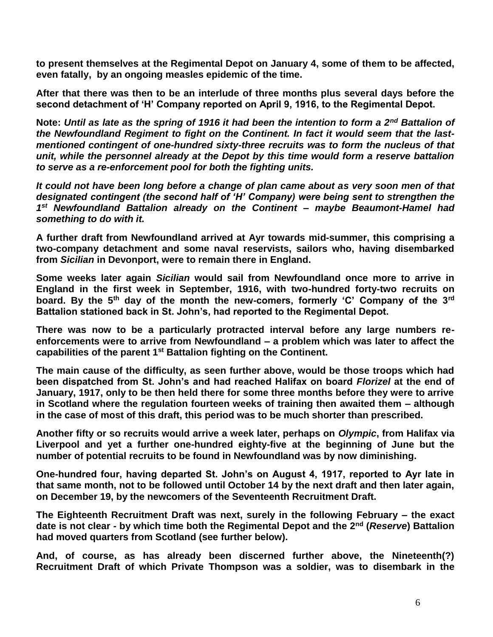**to present themselves at the Regimental Depot on January 4, some of them to be affected, even fatally, by an ongoing measles epidemic of the time.**

**After that there was then to be an interlude of three months plus several days before the second detachment of 'H' Company reported on April 9, 1916, to the Regimental Depot.**

**Note:** *Until as late as the spring of 1916 it had been the intention to form a 2nd Battalion of the Newfoundland Regiment to fight on the Continent. In fact it would seem that the lastmentioned contingent of one-hundred sixty-three recruits was to form the nucleus of that unit, while the personnel already at the Depot by this time would form a reserve battalion to serve as a re-enforcement pool for both the fighting units.*

*It could not have been long before a change of plan came about as very soon men of that designated contingent (the second half of 'H' Company) were being sent to strengthen the 1 st Newfoundland Battalion already on the Continent – maybe Beaumont-Hamel had something to do with it.*

**A further draft from Newfoundland arrived at Ayr towards mid-summer, this comprising a two-company detachment and some naval reservists, sailors who, having disembarked from** *Sicilian* **in Devonport, were to remain there in England.**

**Some weeks later again** *Sicilian* **would sail from Newfoundland once more to arrive in England in the first week in September, 1916, with two-hundred forty-two recruits on board. By the 5th day of the month the new-comers, formerly 'C' Company of the 3rd Battalion stationed back in St. John's, had reported to the Regimental Depot.**

**There was now to be a particularly protracted interval before any large numbers reenforcements were to arrive from Newfoundland – a problem which was later to affect the capabilities of the parent 1st Battalion fighting on the Continent.** 

**The main cause of the difficulty, as seen further above, would be those troops which had been dispatched from St. John's and had reached Halifax on board** *Florizel* **at the end of January, 1917, only to be then held there for some three months before they were to arrive in Scotland where the regulation fourteen weeks of training then awaited them – although in the case of most of this draft, this period was to be much shorter than prescribed.**

**Another fifty or so recruits would arrive a week later, perhaps on** *Olympic***, from Halifax via Liverpool and yet a further one-hundred eighty-five at the beginning of June but the number of potential recruits to be found in Newfoundland was by now diminishing.**

**One-hundred four, having departed St. John's on August 4, 1917, reported to Ayr late in that same month, not to be followed until October 14 by the next draft and then later again, on December 19, by the newcomers of the Seventeenth Recruitment Draft.**

**The Eighteenth Recruitment Draft was next, surely in the following February – the exact date is not clear - by which time both the Regimental Depot and the 2nd (***Reserve***) Battalion had moved quarters from Scotland (see further below).**

**And, of course, as has already been discerned further above, the Nineteenth(?) Recruitment Draft of which Private Thompson was a soldier, was to disembark in the**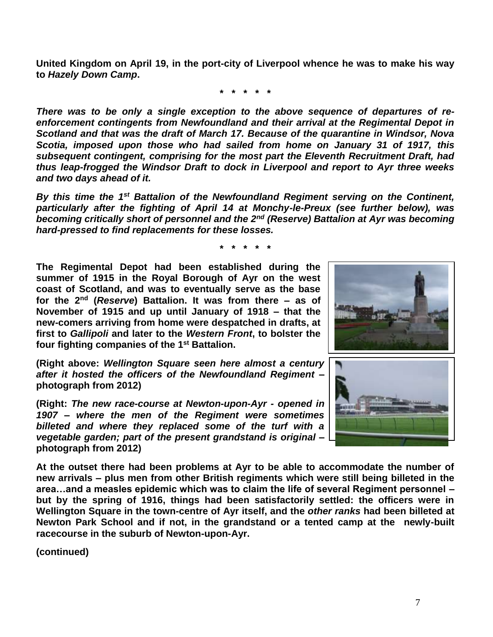**United Kingdom on April 19, in the port-city of Liverpool whence he was to make his way to** *Hazely Down Camp***.**

**\* \* \* \* \***

*There was to be only a single exception to the above sequence of departures of reenforcement contingents from Newfoundland and their arrival at the Regimental Depot in Scotland and that was the draft of March 17. Because of the quarantine in Windsor, Nova Scotia, imposed upon those who had sailed from home on January 31 of 1917, this subsequent contingent, comprising for the most part the Eleventh Recruitment Draft, had thus leap-frogged the Windsor Draft to dock in Liverpool and report to Ayr three weeks and two days ahead of it.*

*By this time the 1st Battalion of the Newfoundland Regiment serving on the Continent, particularly after the fighting of April 14 at Monchy-le-Preux (see further below), was becoming critically short of personnel and the 2nd (Reserve) Battalion at Ayr was becoming hard-pressed to find replacements for these losses.*

**\* \* \* \* \***

**The Regimental Depot had been established during the summer of 1915 in the Royal Borough of Ayr on the west coast of Scotland, and was to eventually serve as the base for the 2nd (***Reserve***) Battalion. It was from there – as of November of 1915 and up until January of 1918 – that the new-comers arriving from home were despatched in drafts, at first to** *Gallipoli* **and later to the** *Western Front***, to bolster the four fighting companies of the 1st Battalion.** 

**(Right above:** *Wellington Square seen here almost a century after it hosted the officers of the Newfoundland Regiment* **– photograph from 2012)**

**(Right:** *The new race-course at Newton-upon-Ayr - opened in 1907 – where the men of the Regiment were sometimes billeted and where they replaced some of the turf with a vegetable garden; part of the present grandstand is original* **– photograph from 2012)**





**At the outset there had been problems at Ayr to be able to accommodate the number of new arrivals – plus men from other British regiments which were still being billeted in the area…and a measles epidemic which was to claim the life of several Regiment personnel – but by the spring of 1916, things had been satisfactorily settled: the officers were in Wellington Square in the town-centre of Ayr itself, and the** *other ranks* **had been billeted at Newton Park School and if not, in the grandstand or a tented camp at the newly-built racecourse in the suburb of Newton-upon-Ayr.**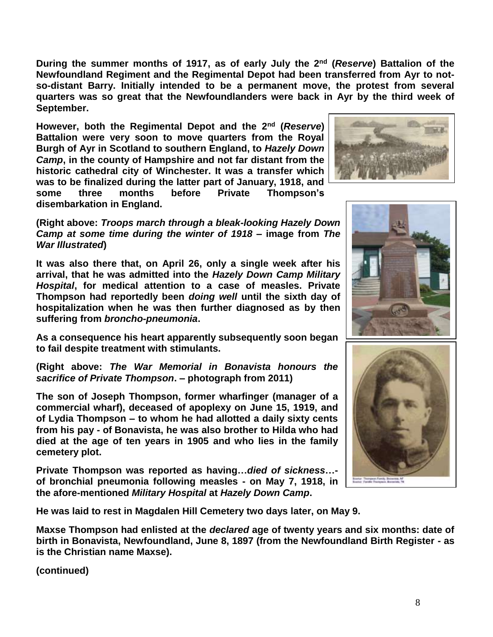**During the summer months of 1917, as of early July the 2nd (***Reserve***) Battalion of the Newfoundland Regiment and the Regimental Depot had been transferred from Ayr to notso-distant Barry. Initially intended to be a permanent move, the protest from several quarters was so great that the Newfoundlanders were back in Ayr by the third week of September.**

**However, both the Regimental Depot and the 2nd (***Reserve***) Battalion were very soon to move quarters from the Royal Burgh of Ayr in Scotland to southern England, to** *Hazely Down Camp***, in the county of Hampshire and not far distant from the historic cathedral city of Winchester. It was a transfer which was to be finalized during the latter part of January, 1918, and some three months before Private Thompson's disembarkation in England.** 



**(Right above:** *Troops march through a bleak-looking Hazely Down Camp at some time during the winter of 1918* **– image from** *The War Illustrated***)**

**It was also there that, on April 26, only a single week after his arrival, that he was admitted into the** *Hazely Down Camp Military Hospital***, for medical attention to a case of measles. Private Thompson had reportedly been** *doing well* **until the sixth day of hospitalization when he was then further diagnosed as by then suffering from** *broncho-pneumonia***.**

**As a consequence his heart apparently subsequently soon began to fail despite treatment with stimulants.**

**(Right above:** *The War Memorial in Bonavista honours the sacrifice of Private Thompson***. – photograph from 2011)**

**The son of Joseph Thompson, former wharfinger (manager of a commercial wharf), deceased of apoplexy on June 15, 1919, and of Lydia Thompson – to whom he had allotted a daily sixty cents from his pay - of Bonavista, he was also brother to Hilda who had died at the age of ten years in 1905 and who lies in the family cemetery plot.**

**Private Thompson was reported as having…***died of sickness***… of bronchial pneumonia following measles - on May 7, 1918, in the afore-mentioned** *Military Hospital* **at** *Hazely Down Camp***.** 





**He was laid to rest in Magdalen Hill Cemetery two days later, on May 9.**

**Maxse Thompson had enlisted at the** *declared* **age of twenty years and six months: date of birth in Bonavista, Newfoundland, June 8, 1897 (from the Newfoundland Birth Register - as is the Christian name Maxse).**